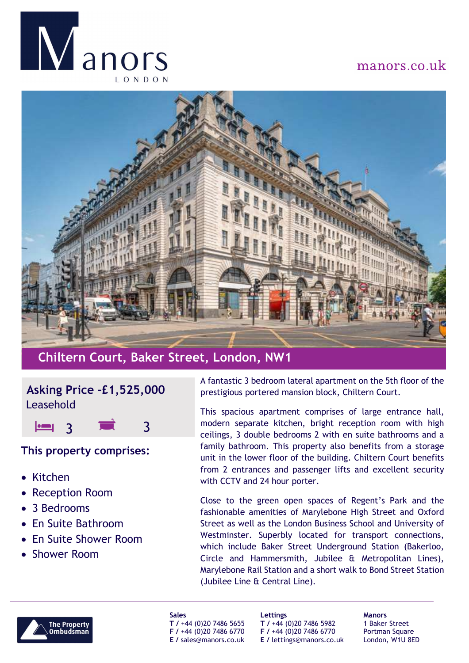

# manors.co.uk



# **Chiltern Court, Baker Street, London, NW1**

### **Asking Price -£1,525,000** Leasehold

3 3

#### **This property comprises:**

- $\bullet$  Kitchen
- $\bullet$ Reception Room
- $\bullet$ 3 Bedrooms
- $\bullet$ En Suite Bathroom
- $\bullet$ En Suite Shower Room
- Shower Room

A fantastic 3 bedroom lateral apartment on the 5th floor of the prestigious portered mansion block, Chiltern Court.

This spacious apartment comprises of large entrance hall, modern separate kitchen, bright reception room with high ceilings, 3 double bedrooms 2 with en suite bathrooms and <sup>a</sup> family bathroom. This property also benefits from <sup>a</sup> storage unit in the lower floor of the building. Chiltern Court benefits from 2 entrances and passenger lifts and excellent security with CCTV and 24 hour porter.

Close to the green open spaces of Regent's Park and the fashionable amenities of Marylebone High Street and Oxford Street as well as the London Business School and University of Westminster. Superbly located for transport connections, which include Baker Street Underground Station (Bakerloo, Circle and Hammersmith, Jubilee & Metropolitan Lines), Marylebone Rail Station and <sup>a</sup> short walk to Bond Street Station (Jubilee Line & Central Line).



**Sales T /** +44 (0)20 7486 5655 **F /** +44 (0)20 7486 6770 **E /** sales@manors.co.uk **Lettings T /** +44 (0)20 7486 5982 **F /** +44 (0)20 7486 6770 **E /** lettings@manors.co.uk

**Manors** 1 Baker Street Portman Square London, W1U 8ED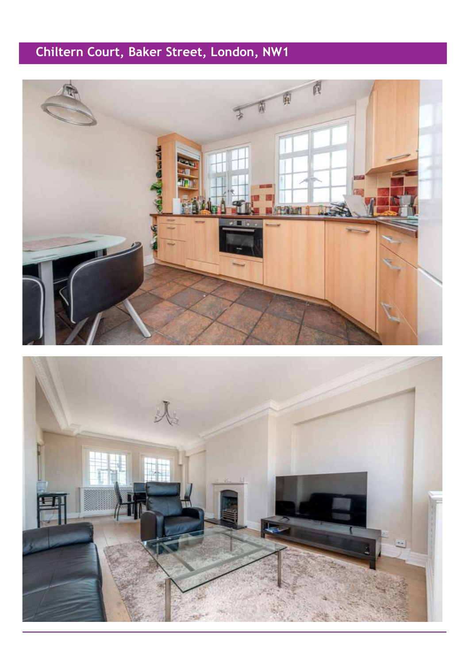# **Chiltern Court, Baker Street, London, NW1**



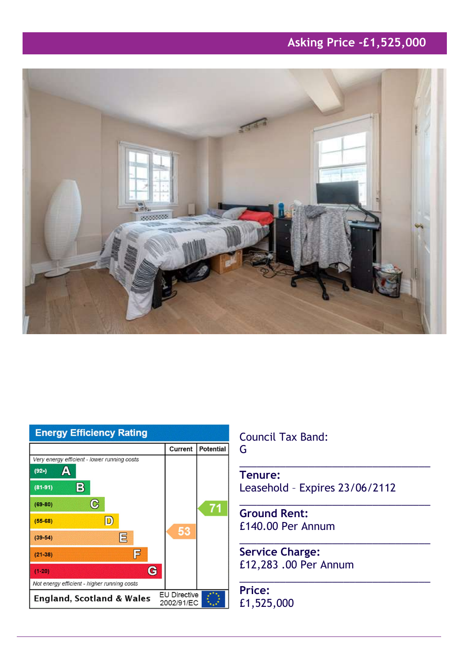# **Asking Price -£1,525,000**





Council Tax Band:

G

**Tenure:** Leasehold – Expires 23/06/2112

\_\_\_\_\_\_\_\_\_\_\_\_\_\_\_\_\_\_\_\_\_\_\_\_\_\_\_\_\_\_\_\_\_

\_\_\_\_\_\_\_\_\_\_\_\_\_\_\_\_\_\_\_\_\_\_\_\_\_\_\_\_\_\_\_\_\_

\_\_\_\_\_\_\_\_\_\_\_\_\_\_\_\_\_\_\_\_\_\_\_\_\_\_\_\_\_\_\_\_\_

\_\_\_\_\_\_\_\_\_\_\_\_\_\_\_\_\_\_\_\_\_\_\_\_\_\_\_\_\_\_\_\_\_

**Ground Rent:** £140.00 Per Annum

**Service Charge:** £12,283 .00 Per Annum

**Price:** £1,525,000